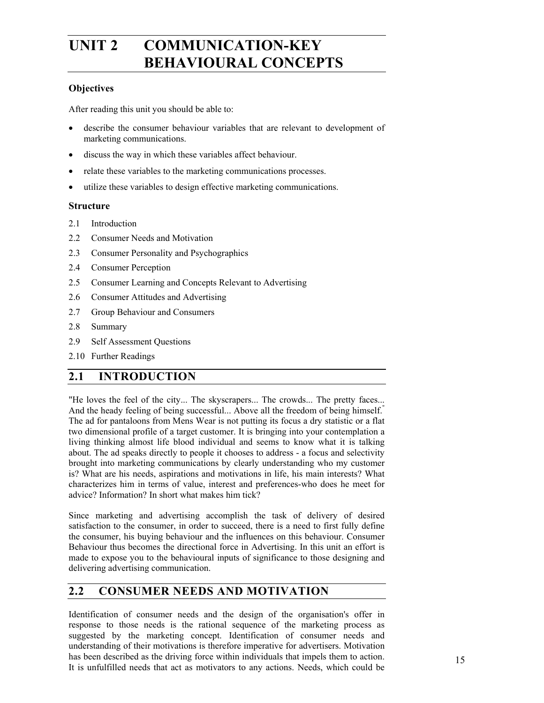# **UNIT 2 COMMUNICATION-KEY BEHAVIOURAL CONCEPTS**

### **Objectives**

After reading this unit you should be able to:

- describe the consumer behaviour variables that are relevant to development of marketing communications.
- discuss the way in which these variables affect behaviour.
- relate these variables to the marketing communications processes.
- utilize these variables to design effective marketing communications.

#### **Structure**

- 2.1 Introduction
- 2.2 Consumer Needs and Motivation
- 2.3 Consumer Personality and Psychographics
- 2.4 Consumer Perception
- 2.5 Consumer Learning and Concepts Relevant to Advertising
- 2.6 Consumer Attitudes and Advertising
- 2.7 Group Behaviour and Consumers
- 2.8 Summary
- 2.9 Self Assessment Questions
- 2.10 Further Readings

### **2.1 INTRODUCTION**

"He loves the feel of the city... The skyscrapers... The crowds... The pretty faces... And the heady feeling of being successful... Above all the freedom of being himself." The ad for pantaloons from Mens Wear is not putting its focus a dry statistic or a flat two dimensional profile of a target customer. It is bringing into your contemplation a living thinking almost life blood individual and seems to know what it is talking about. The ad speaks directly to people it chooses to address - a focus and selectivity brought into marketing communications by clearly understanding who my customer is? What are his needs, aspirations and motivations in life, his main interests? What characterizes him in terms of value, interest and preferences-who does he meet for advice? Information? In short what makes him tick?

Since marketing and advertising accomplish the task of delivery of desired satisfaction to the consumer, in order to succeed, there is a need to first fully define the consumer, his buying behaviour and the influences on this behaviour. Consumer Behaviour thus becomes the directional force in Advertising. In this unit an effort is made to expose you to the behavioural inputs of significance to those designing and delivering advertising communication.

### **2.2 CONSUMER NEEDS AND MOTIVATION**

Identification of consumer needs and the design of the organisation's offer in response to those needs is the rational sequence of the marketing process as suggested by the marketing concept. Identification of consumer needs and understanding of their motivations is therefore imperative for advertisers. Motivation has been described as the driving force within individuals that impels them to action. It is unfulfilled needs that act as motivators to any actions. Needs, which could be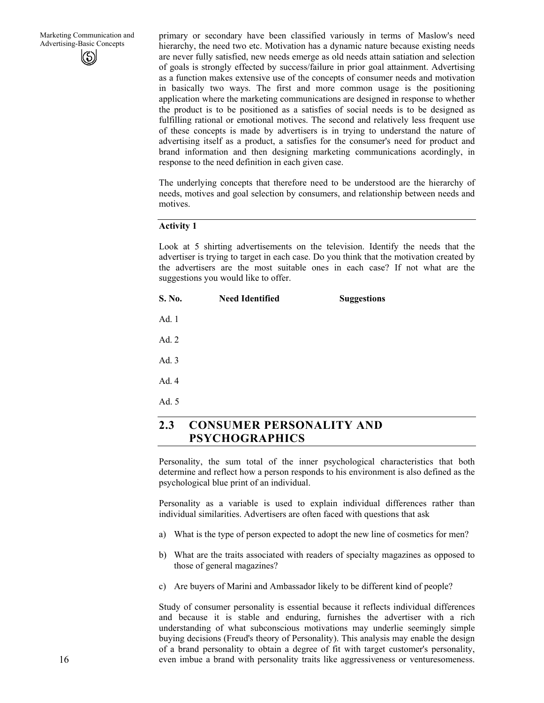primary or secondary have been classified variously in terms of Maslow's need hierarchy, the need two etc. Motivation has a dynamic nature because existing needs are never fully satisfied, new needs emerge as old needs attain satiation and selection of goals is strongly effected by success/failure in prior goal attainment. Advertising as a function makes extensive use of the concepts of consumer needs and motivation in basically two ways. The first and more common usage is the positioning application where the marketing communications are designed in response to whether the product is to be positioned as a satisfies of social needs is to be designed as fulfilling rational or emotional motives. The second and relatively less frequent use of these concepts is made by advertisers is in trying to understand the nature of advertising itself as a product, a satisfies for the consumer's need for product and brand information and then designing marketing communications acordingly, in response to the need definition in each given case.

The underlying concepts that therefore need to be understood are the hierarchy of needs, motives and goal selection by consumers, and relationship between needs and motives.

#### **Activity 1**

Look at 5 shirting advertisements on the television. Identify the needs that the advertiser is trying to target in each case. Do you think that the motivation created by the advertisers are the most suitable ones in each case? If not what are the suggestions you would like to offer.

| S. No.    | <b>Need Identified</b>   | <b>Suggestions</b> |  |
|-----------|--------------------------|--------------------|--|
| Ad. 1     |                          |                    |  |
| Ad. 2     |                          |                    |  |
| Ad. $3$   |                          |                    |  |
| Ad. 4     |                          |                    |  |
| Ad. 5     |                          |                    |  |
| <b>12</b> | CONSUMED DEDSONALITY AND |                    |  |

## **2.3 CONSUMER PERSONALITY AND PSYCHOGRAPHICS**

Personality, the sum total of the inner psychological characteristics that both determine and reflect how a person responds to his environment is also defined as the psychological blue print of an individual.

Personality as a variable is used to explain individual differences rather than individual similarities. Advertisers are often faced with questions that ask

- a) What is the type of person expected to adopt the new line of cosmetics for men?
- b) What are the traits associated with readers of specialty magazines as opposed to those of general magazines?
- c) Are buyers of Marini and Ambassador likely to be different kind of people?

Study of consumer personality is essential because it reflects individual differences and because it is stable and enduring, furnishes the advertiser with a rich understanding of what subconscious motivations may underlie seemingly simple buying decisions (Freud's theory of Personality). This analysis may enable the design of a brand personality to obtain a degree of fit with target customer's personality, even imbue a brand with personality traits like aggressiveness or venturesomeness.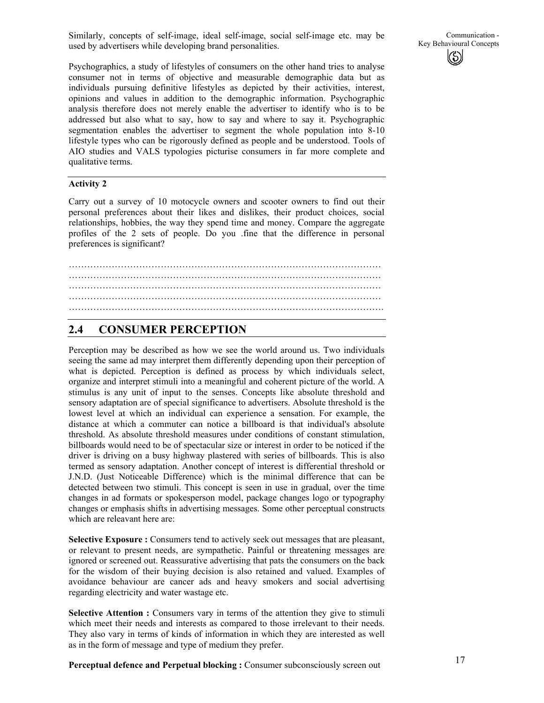Similarly, concepts of self-image, ideal self-image, social self-image etc. may be used by advertisers while developing brand personalities.

Psychographics, a study of lifestyles of consumers on the other hand tries to analyse consumer not in terms of objective and measurable demographic data but as individuals pursuing definitive lifestyles as depicted by their activities, interest, opinions and values in addition to the demographic information. Psychographic analysis therefore does not merely enable the advertiser to identify who is to be addressed but also what to say, how to say and where to say it. Psychographic segmentation enables the advertiser to segment the whole population into 8-10 lifestyle types who can be rigorously defined as people and be understood. Tools of AIO studies and VALS typologies picturise consumers in far more complete and qualitative terms.

#### **Activity 2**

Carry out a survey of 10 motocycle owners and scooter owners to find out their personal preferences about their likes and dislikes, their product choices, social relationships, hobbies, the way they spend time and money. Compare the aggregate profiles of the 2 sets of people. Do you .fine that the difference in personal preferences is significant?

………………………………………………………………………………………… ………………………………………………………………………………………… ………………………………………………………………………………………… …………………………………………………………………………………………

### **2.4 CONSUMER PERCEPTION**

Perception may be described as how we see the world around us. Two individuals seeing the same ad may interpret them differently depending upon their perception of what is depicted. Perception is defined as process by which individuals select, organize and interpret stimuli into a meaningful and coherent picture of the world. A stimulus is any unit of input to the senses. Concepts like absolute threshold and sensory adaptation are of special significance to advertisers. Absolute threshold is the lowest level at which an individual can experience a sensation. For example, the distance at which a commuter can notice a billboard is that individual's absolute threshold. As absolute threshold measures under conditions of constant stimulation, billboards would need to be of spectacular size or interest in order to be noticed if the driver is driving on a busy highway plastered with series of billboards. This is also termed as sensory adaptation. Another concept of interest is differential threshold or J.N.D. (Just Noticeable Difference) which is the minimal difference that can be detected between two stimuli. This concept is seen in use in gradual, over the time changes in ad formats or spokesperson model, package changes logo or typography changes or emphasis shifts in advertising messages. Some other perceptual constructs which are releavant here are:

**Selective Exposure :** Consumers tend to actively seek out messages that are pleasant, or relevant to present needs, are sympathetic. Painful or threatening messages are ignored or screened out. Reassurative advertising that pats the consumers on the back for the wisdom of their buying decision is also retained and valued. Examples of avoidance behaviour are cancer ads and heavy smokers and social advertising regarding electricity and water wastage etc.

**Selective Attention :** Consumers vary in terms of the attention they give to stimuli which meet their needs and interests as compared to those irrelevant to their needs. They also vary in terms of kinds of information in which they are interested as well as in the form of message and type of medium they prefer.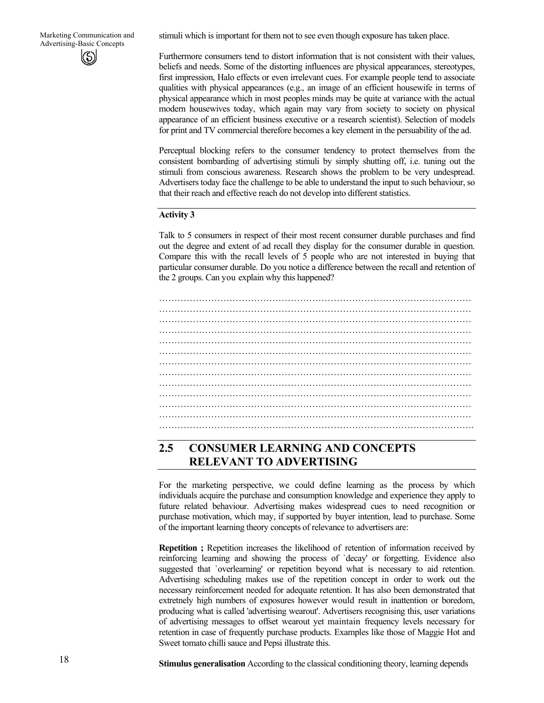stimuli which is important for them not to see even though exposure has taken place.

Furthermore consumers tend to distort information that is not consistent with their values, beliefs and needs. Some of the distorting influences are physical appearances, stereotypes, first impression, Halo effects or even irrelevant cues. For example people tend to associate qualities with physical appearances (e.g., an image of an efficient housewife in terms of physical appearance which in most peoples minds may be quite at variance with the actual modern housewives today, which again may vary from society to society on physical appearance of an efficient business executive or a research scientist). Selection of models for print and TV commercial therefore becomes a key element in the persuability of the ad.

Perceptual blocking refers to the consumer tendency to protect themselves from the consistent bombarding of advertising stimuli by simply shutting off, i.e. tuning out the stimuli from conscious awareness. Research shows the problem to be very undespread. Advertisers today face the challenge to be able to understand the input to such behaviour, so that their reach and effective reach do not develop into different statistics.

#### **Activity 3**

Talk to 5 consumers in respect of their most recent consumer durable purchases and find out the degree and extent of ad recall they display for the consumer durable in question. Compare this with the recall levels of 5 people who are not interested in buying that particular consumer durable. Do you notice a difference between the recall and retention of the 2 groups. Can you explain why this happened?

………………………………………………………………………………………… ………………………………………………………………………………………… ………………………………………………………………………………………… ………………………………………………………………………………………… ………………………………………………………………………………………… ………………………………………………………………………………………… ………………………………………………………………………………………… ………………………………………………………………………………………… ………………………………………………………………………………………….

### **2.5 CONSUMER LEARNING AND CONCEPTS RELEVANT TO ADVERTISING**

For the marketing perspective, we could define learning as the process by which individuals acquire the purchase and consumption knowledge and experience they apply to future related behaviour. Advertising makes widespread cues to need recognition or purchase motivation, which may, if supported by buyer intention, lead to purchase. Some of the important learning theory concepts of relevance to advertisers are:

**Repetition ;** Repetition increases the likelihood of retention of information received by reinforcing learning and showing the process of `decay' or forgetting. Evidence also suggested that `overlearning' or repetition beyond what is necessary to aid retention. Advertising scheduling makes use of the repetition concept in order to work out the necessary reinforcement needed for adequate retention. It has also been demonstrated that extretnely high numbers of exposures however would result in inattention or boredom, producing what is called 'advertising wearout'. Advertisers recognising this, user variations of advertising messages to offset wearout yet maintain frequency levels necessary for retention in case of frequently purchase products. Examples like those of Maggie Hot and Sweet tomato chilli sauce and Pepsi illustrate this.

**Stimulus generalisation** According to the classical conditioning theory, learning depends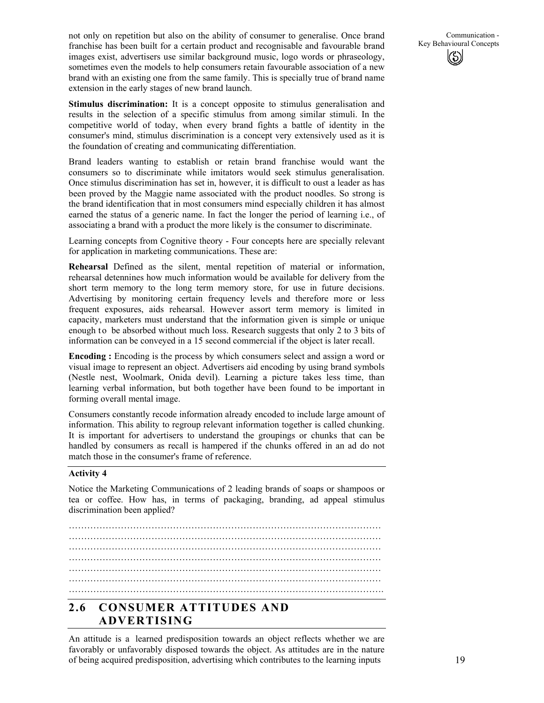not only on repetition but also on the ability of consumer to generalise. Once brand franchise has been built for a certain product and recognisable and favourable brand images exist, advertisers use similar background music, logo words or phraseology, sometimes even the models to help consumers retain favourable association of a new brand with an existing one from the same family. This is specially true of brand name extension in the early stages of new brand launch.

Communication - Key Behavioural Concepts

**Stimulus discrimination:** It is a concept opposite to stimulus generalisation and results in the selection of a specific stimulus from among similar stimuli. In the competitive world of today, when every brand fights a battle of identity in the consumer's mind, stimulus discrimination is a concept very extensively used as it is the foundation of creating and communicating differentiation.

Brand leaders wanting to establish or retain brand franchise would want the consumers so to discriminate while imitators would seek stimulus generalisation. Once stimulus discrimination has set in, however, it is difficult to oust a leader as has been proved by the Maggie name associated with the product noodles. So strong is the brand identification that in most consumers mind especially children it has almost earned the status of a generic name. In fact the longer the period of learning i.e., of associating a brand with a product the more likely is the consumer to discriminate.

Learning concepts from Cognitive theory - Four concepts here are specially relevant for application in marketing communications. These are:

**Rehearsal** Defined as the silent, mental repetition of material or information, rehearsal detennines how much information would be available for delivery from the short term memory to the long term memory store, for use in future decisions. Advertising by monitoring certain frequency levels and therefore more or less frequent exposures, aids rehearsal. However assort term memory is limited in capacity, marketers must understand that the information given is simple or unique enough to be absorbed without much loss. Research suggests that only 2 to 3 bits of information can be conveyed in a 15 second commercial if the object is later recall.

**Encoding :** Encoding is the process by which consumers select and assign a word or visual image to represent an object. Advertisers aid encoding by using brand symbols (Nestle nest, Woolmark, Onida devil). Learning a picture takes less time, than learning verbal information, but both together have been found to be important in forming overall mental image.

Consumers constantly recode information already encoded to include large amount of information. This ability to regroup relevant information together is called chunking. It is important for advertisers to understand the groupings or chunks that can be handled by consumers as recall is hampered if the chunks offered in an ad do not match those in the consumer's frame of reference.

#### **Activity 4**

Notice the Marketing Communications of 2 leading brands of soaps or shampoos or tea or coffee. How has, in terms of packaging, branding, ad appeal stimulus discrimination been applied?

………………………………………………………………………………………… ………………………………………………………………………………………… ………………………………………………………………………………………… ………………………………………………………………………………………… ………………………………………………………………………………………… ………………………………………………………………………………………….

# **2.6 CONSUMER ATTITUDES AND ADVERTISING**

An attitude is a learned predisposition towards an object reflects whether we are favorably or unfavorably disposed towards the object. As attitudes are in the nature of being acquired predisposition, advertising which contributes to the learning inputs